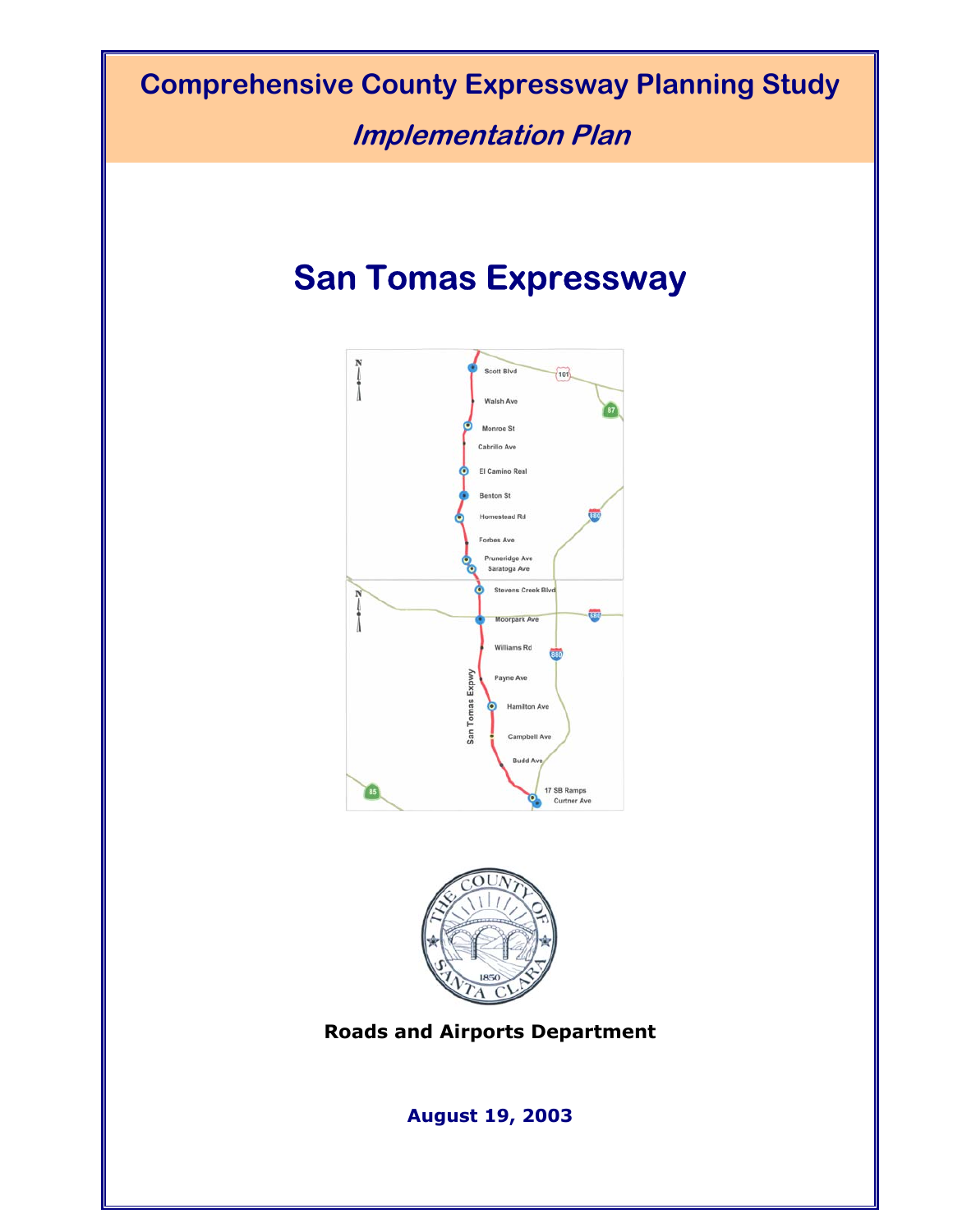## **Comprehensive County Expressway Planning Study**

**Implementation Plan** 

# **San Tomas Expressway**





**Roads and Airports Department**

**August 19, 2003**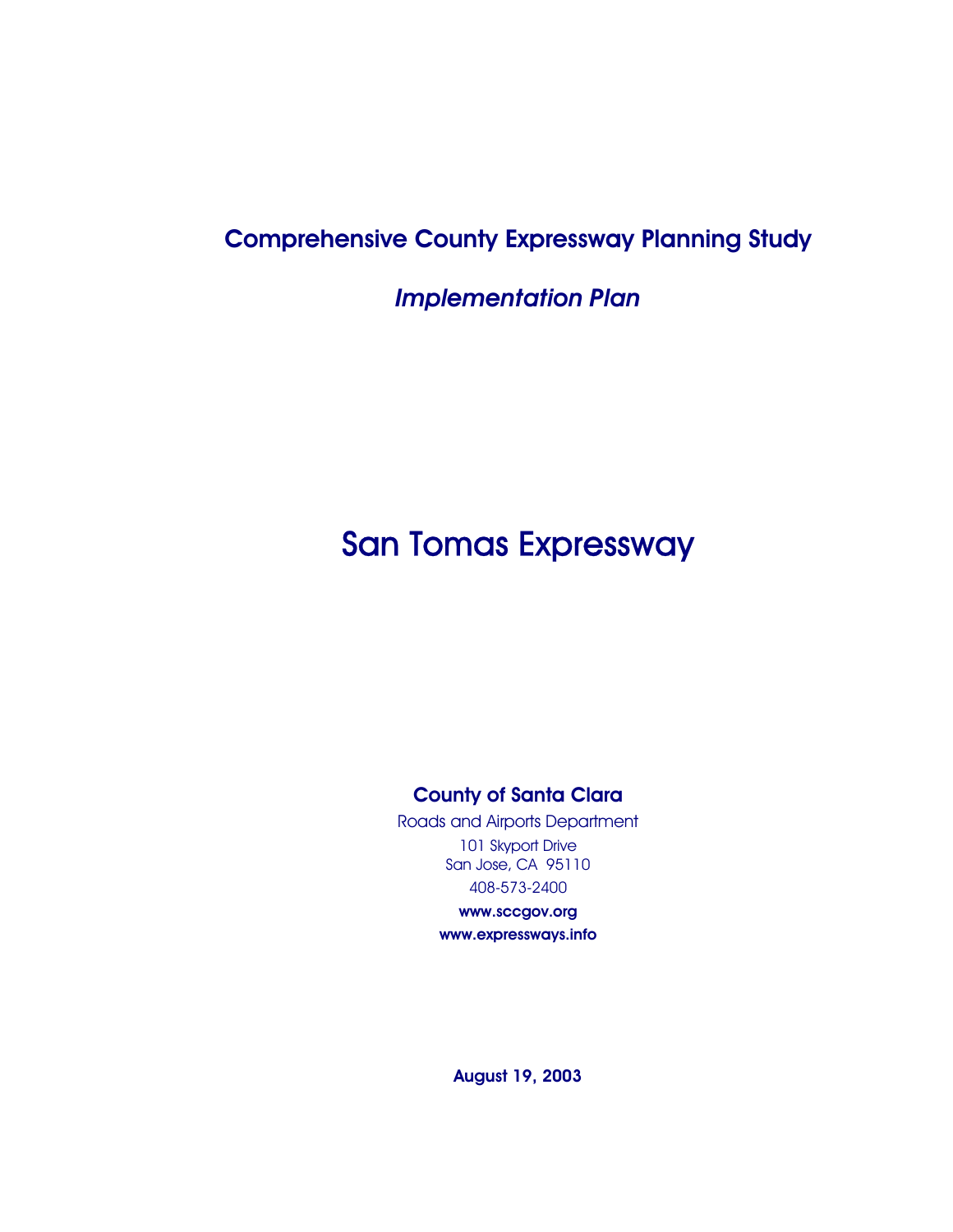## Comprehensive County Expressway Planning Study

*Implementation Plan* 

## San Tomas Expressway

#### County of Santa Clara

Roads and Airports Department 101 Skyport Drive San Jose, CA 95110 408-573-2400

> www.sccgov.org www.expressways.info

August 19, 2003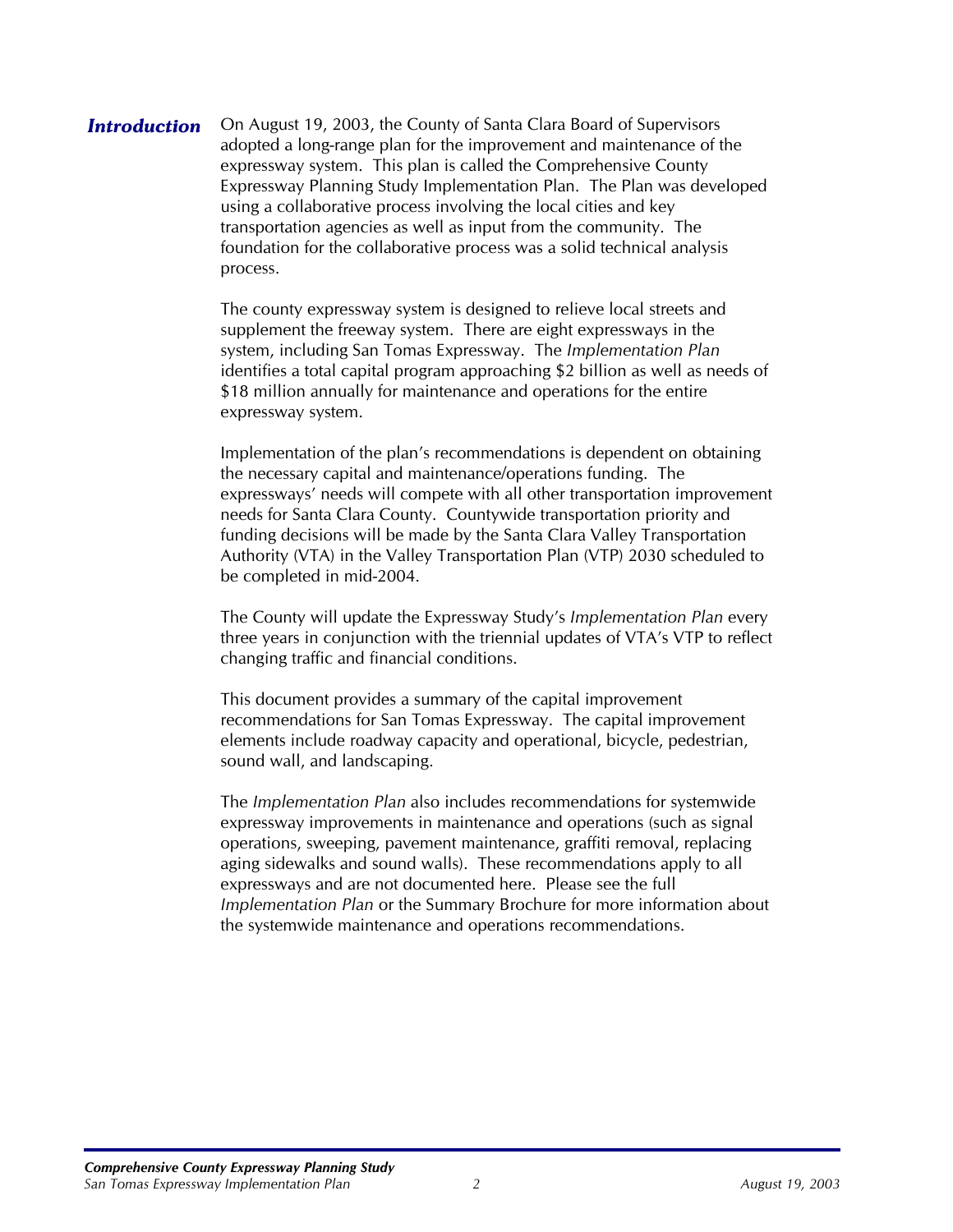**Introduction** On August 19, 2003, the County of Santa Clara Board of Supervisors adopted a long-range plan for the improvement and maintenance of the expressway system. This plan is called the Comprehensive County Expressway Planning Study Implementation Plan. The Plan was developed using a collaborative process involving the local cities and key transportation agencies as well as input from the community. The foundation for the collaborative process was a solid technical analysis process.

> The county expressway system is designed to relieve local streets and supplement the freeway system. There are eight expressways in the system, including San Tomas Expressway. The *Implementation Plan* identifies a total capital program approaching \$2 billion as well as needs of \$18 million annually for maintenance and operations for the entire expressway system.

> Implementation of the plan's recommendations is dependent on obtaining the necessary capital and maintenance/operations funding. The expressways' needs will compete with all other transportation improvement needs for Santa Clara County. Countywide transportation priority and funding decisions will be made by the Santa Clara Valley Transportation Authority (VTA) in the Valley Transportation Plan (VTP) 2030 scheduled to be completed in mid-2004.

> The County will update the Expressway Study's *Implementation Plan* every three years in conjunction with the triennial updates of VTA's VTP to reflect changing traffic and financial conditions.

This document provides a summary of the capital improvement recommendations for San Tomas Expressway. The capital improvement elements include roadway capacity and operational, bicycle, pedestrian, sound wall, and landscaping.

The *Implementation Plan* also includes recommendations for systemwide expressway improvements in maintenance and operations (such as signal operations, sweeping, pavement maintenance, graffiti removal, replacing aging sidewalks and sound walls). These recommendations apply to all expressways and are not documented here. Please see the full *Implementation Plan* or the Summary Brochure for more information about the systemwide maintenance and operations recommendations.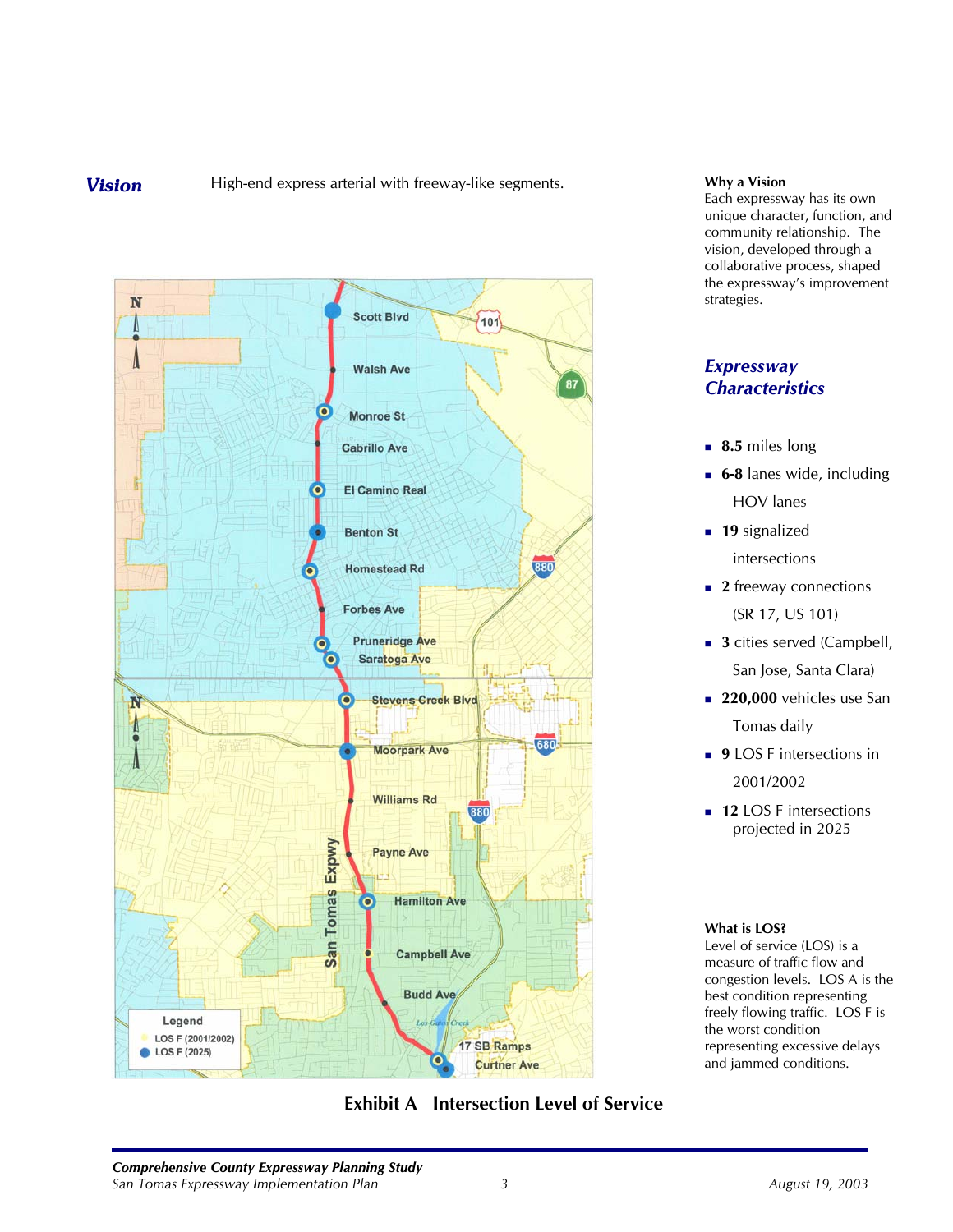**Vision** High-end express arterial with freeway-like segments. **Why a Vision** 



### **Exhibit A Intersection Level of Service**

Each expressway has its own unique character, function, and community relationship. The vision, developed through a collaborative process, shaped the expressway's improvement strategies.

#### *Expressway Characteristics*

- **8.5** miles long
- **6-8** lanes wide, including HOV lanes
- **19** signalized intersections
- **2** freeway connections (SR 17, US 101)
- **3** cities served (Campbell, San Jose, Santa Clara)
- **220,000** vehicles use San Tomas daily
- **9** LOS F intersections in 2001/2002
- **12 LOS F intersections** projected in 2025

#### **What is LOS?**

Level of service (LOS) is a measure of traffic flow and congestion levels. LOS A is the best condition representing freely flowing traffic. LOS F is the worst condition representing excessive delays and jammed conditions.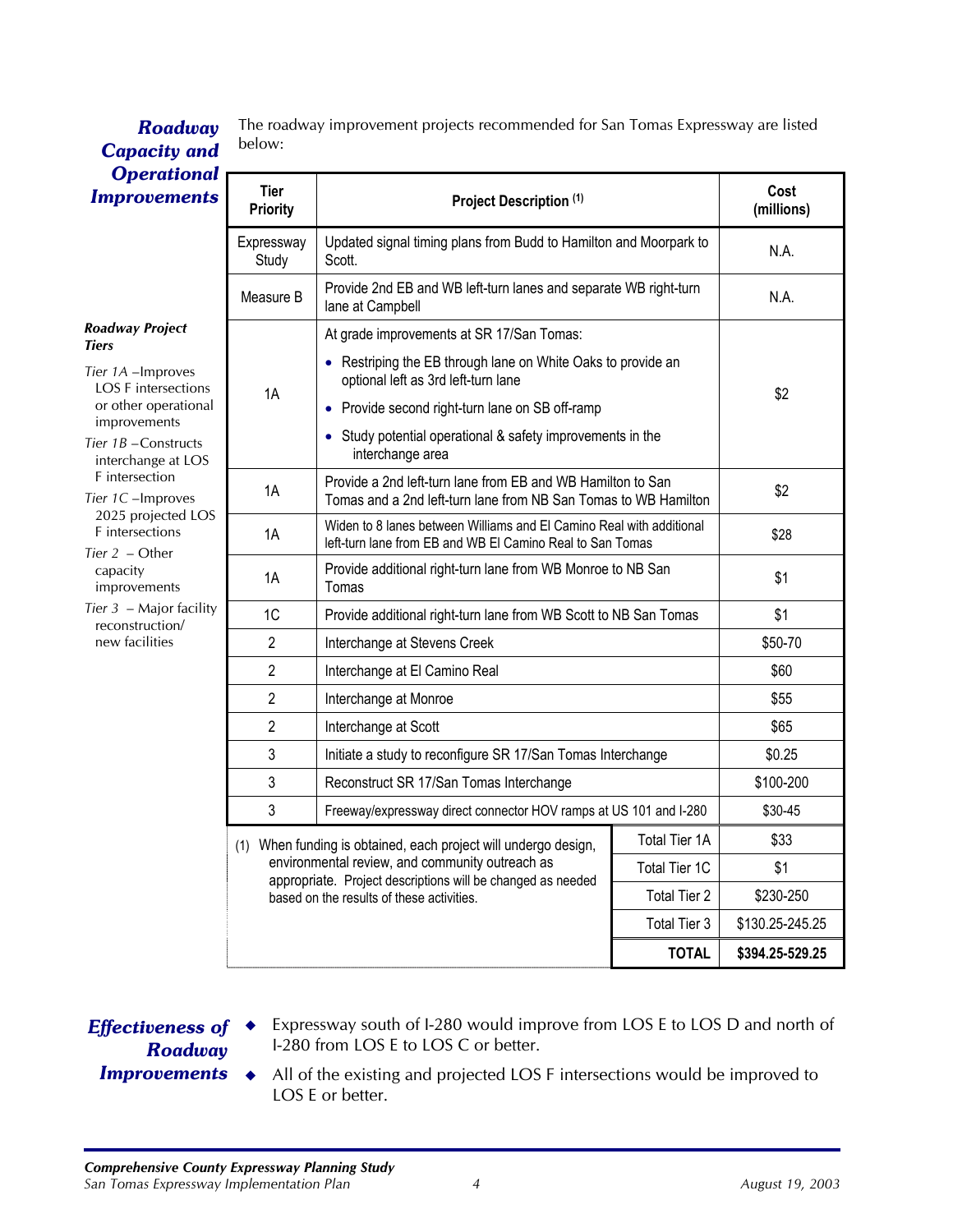| <b>Capacity and</b>                                                                                                                                                                     | pelow:                                                                                                                   |                                                                                                                                   |               |                    |
|-----------------------------------------------------------------------------------------------------------------------------------------------------------------------------------------|--------------------------------------------------------------------------------------------------------------------------|-----------------------------------------------------------------------------------------------------------------------------------|---------------|--------------------|
| <b>Operational</b><br><b>Improvements</b>                                                                                                                                               | <b>Tier</b><br><b>Priority</b>                                                                                           | Project Description (1)                                                                                                           |               | Cost<br>(millions) |
|                                                                                                                                                                                         | Expressway<br>Study                                                                                                      | Updated signal timing plans from Budd to Hamilton and Moorpark to<br>Scott.                                                       |               | N.A.               |
|                                                                                                                                                                                         | Measure B                                                                                                                | Provide 2nd EB and WB left-turn lanes and separate WB right-turn<br>lane at Campbell                                              |               | N.A.               |
| <b>Roadway Project</b><br>Tiers                                                                                                                                                         |                                                                                                                          | At grade improvements at SR 17/San Tomas:                                                                                         |               |                    |
| Tier 1A - Improves<br><b>LOS F</b> intersections                                                                                                                                        | 1A                                                                                                                       | • Restriping the EB through lane on White Oaks to provide an<br>optional left as 3rd left-turn lane                               |               | \$2                |
| or other operational                                                                                                                                                                    |                                                                                                                          | • Provide second right-turn lane on SB off-ramp                                                                                   |               |                    |
| improvements<br>Tier 1B-Constructs<br>interchange at LOS<br>F intersection<br>Tier 1C-Improves<br>2025 projected LOS<br>F intersections<br>Tier $2$ – Other<br>capacity<br>improvements |                                                                                                                          | • Study potential operational & safety improvements in the<br>interchange area                                                    |               |                    |
|                                                                                                                                                                                         | 1A                                                                                                                       | Provide a 2nd left-turn lane from EB and WB Hamilton to San<br>Tomas and a 2nd left-turn lane from NB San Tomas to WB Hamilton    |               | \$2                |
|                                                                                                                                                                                         | 1A                                                                                                                       | Widen to 8 lanes between Williams and El Camino Real with additional<br>left-turn lane from EB and WB El Camino Real to San Tomas |               | \$28               |
|                                                                                                                                                                                         | 1A                                                                                                                       | Provide additional right-turn lane from WB Monroe to NB San<br>Tomas                                                              |               | \$1                |
| Tier $3$ – Major facility<br>reconstruction/                                                                                                                                            | 1 <sup>C</sup>                                                                                                           | Provide additional right-turn lane from WB Scott to NB San Tomas                                                                  |               | \$1                |
| new facilities                                                                                                                                                                          | $\overline{c}$                                                                                                           | Interchange at Stevens Creek                                                                                                      |               | \$50-70            |
|                                                                                                                                                                                         | $\mathbf{2}$                                                                                                             | Interchange at El Camino Real                                                                                                     |               | \$60               |
|                                                                                                                                                                                         | $\mathbf{2}$                                                                                                             | Interchange at Monroe                                                                                                             |               | \$55               |
|                                                                                                                                                                                         | $\mathbf{2}$                                                                                                             | Interchange at Scott                                                                                                              |               | \$65               |
|                                                                                                                                                                                         | 3                                                                                                                        | Initiate a study to reconfigure SR 17/San Tomas Interchange                                                                       |               | \$0.25             |
|                                                                                                                                                                                         | 3                                                                                                                        | Reconstruct SR 17/San Tomas Interchange                                                                                           |               | \$100-200          |
|                                                                                                                                                                                         | 3                                                                                                                        | Freeway/expressway direct connector HOV ramps at US 101 and I-280                                                                 |               | \$30-45            |
|                                                                                                                                                                                         |                                                                                                                          | (1) When funding is obtained, each project will undergo design,                                                                   | Total Tier 1A | \$33               |
|                                                                                                                                                                                         | environmental review, and community outreach as                                                                          | Total Tier 1C                                                                                                                     | \$1           |                    |
|                                                                                                                                                                                         | appropriate. Project descriptions will be changed as needed<br>Total Tier 2<br>based on the results of these activities. |                                                                                                                                   |               | \$230-250          |
|                                                                                                                                                                                         |                                                                                                                          |                                                                                                                                   | Total Tier 3  | \$130.25-245.25    |
|                                                                                                                                                                                         |                                                                                                                          |                                                                                                                                   | <b>TOTAL</b>  | \$394.25-529.25    |

The roadway improvement projects recommended for San Tomas Expressway are listed *Roadway* The road

# *Roadway*

*Effectiveness of*  Expressway south of I-280 would improve from LOS E to LOS D and north of I-280 from LOS E to LOS C or better.

*Improvements*

All of the existing and projected LOS F intersections would be improved to LOS E or better.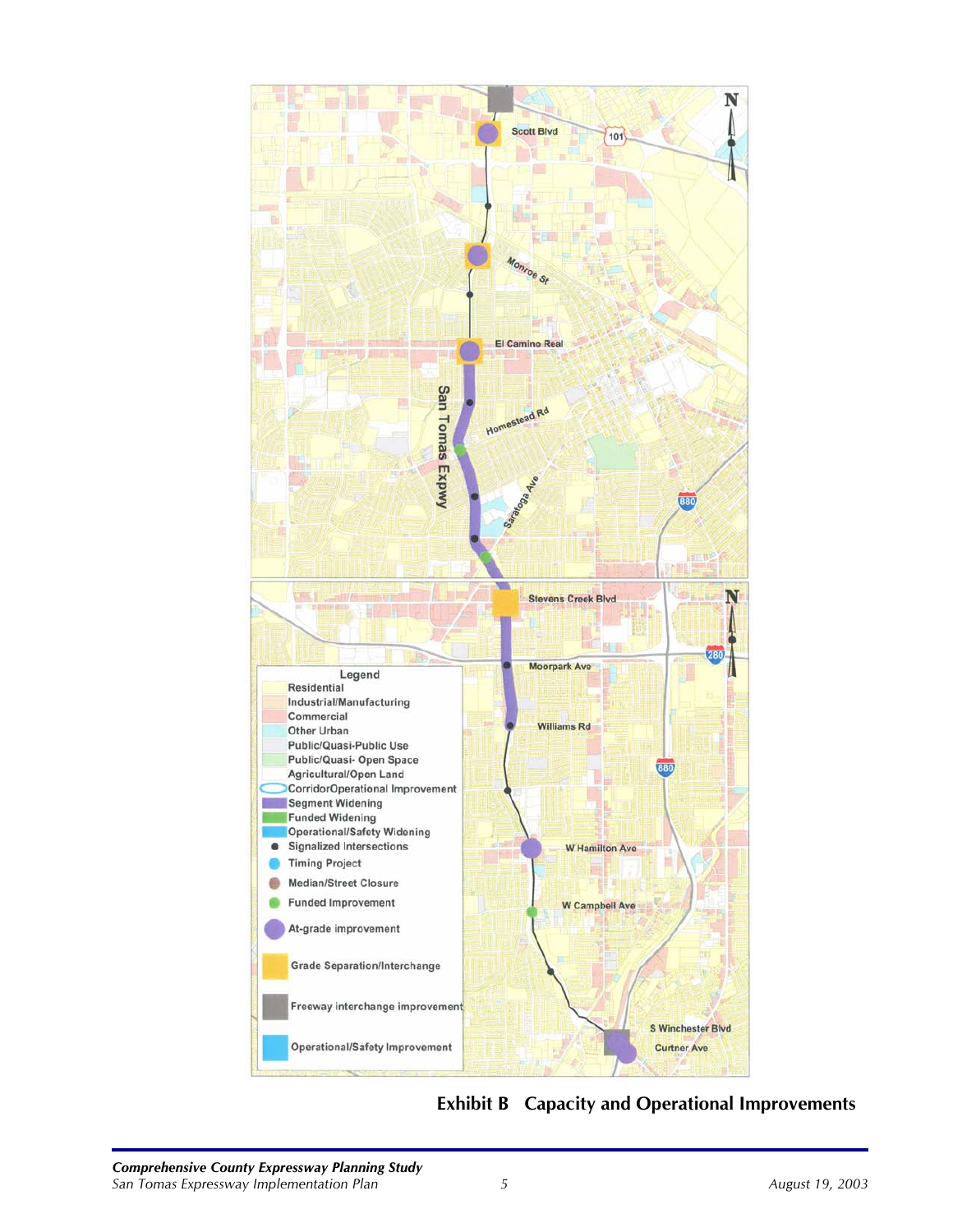

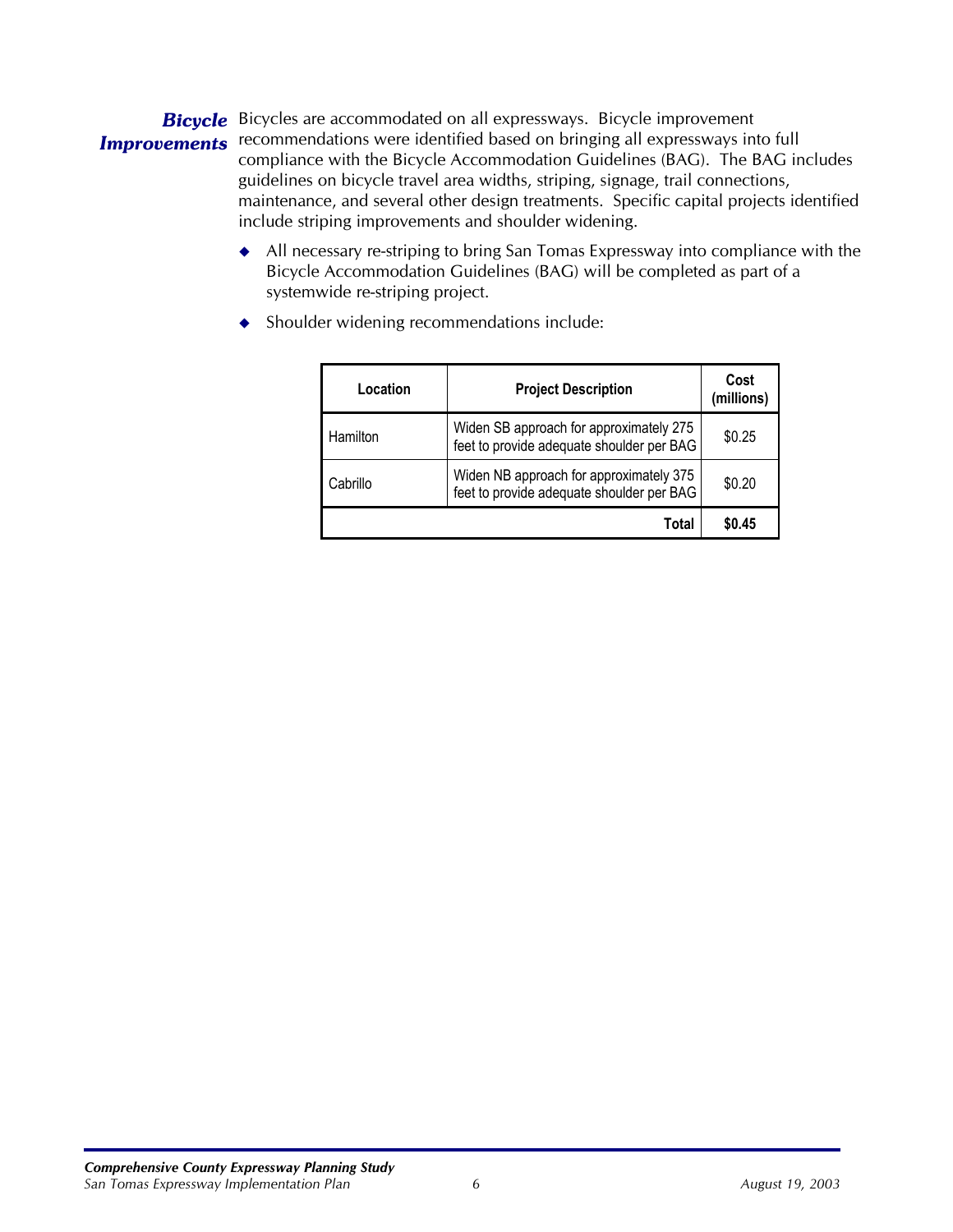#### *Bicycle* Bicycles are accommodated on all expressways. Bicycle improvement **Improvements** recommendations were identified based on bringing all expressways into full compliance with the Bicycle Accommodation Guidelines (BAG). The BAG includes guidelines on bicycle travel area widths, striping, signage, trail connections, maintenance, and several other design treatments. Specific capital projects identified include striping improvements and shoulder widening.

 All necessary re-striping to bring San Tomas Expressway into compliance with the Bicycle Accommodation Guidelines (BAG) will be completed as part of a systemwide re-striping project.

| Location | <b>Project Description</b>                                                           | Cost<br>(millions) |
|----------|--------------------------------------------------------------------------------------|--------------------|
| Hamilton | Widen SB approach for approximately 275<br>feet to provide adequate shoulder per BAG | \$0.25             |
| Cabrillo | Widen NB approach for approximately 375<br>feet to provide adequate shoulder per BAG | \$0.20             |
|          | Total                                                                                | \$0.45             |

◆ Shoulder widening recommendations include: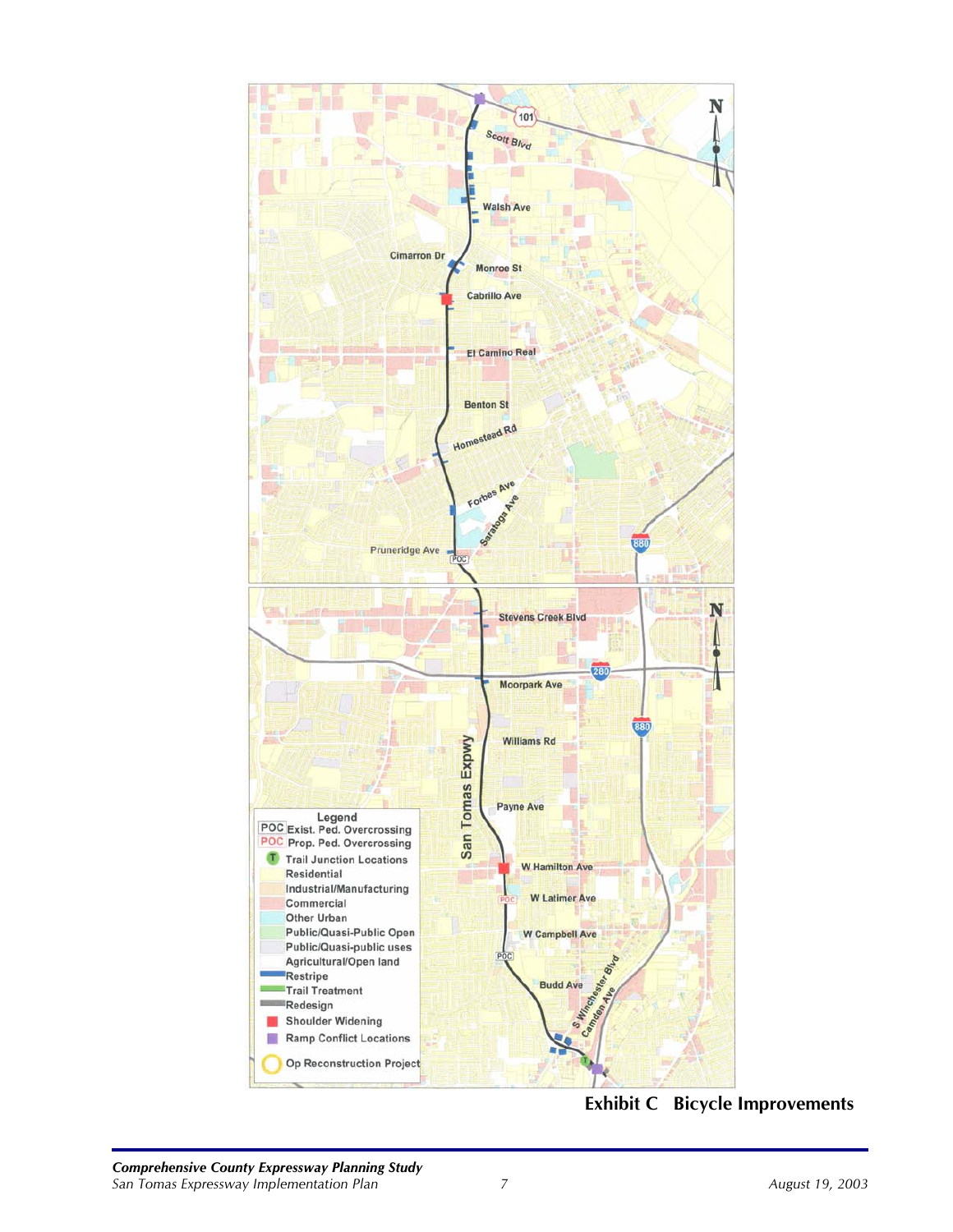

**Exhibit C Bicycle Improvements**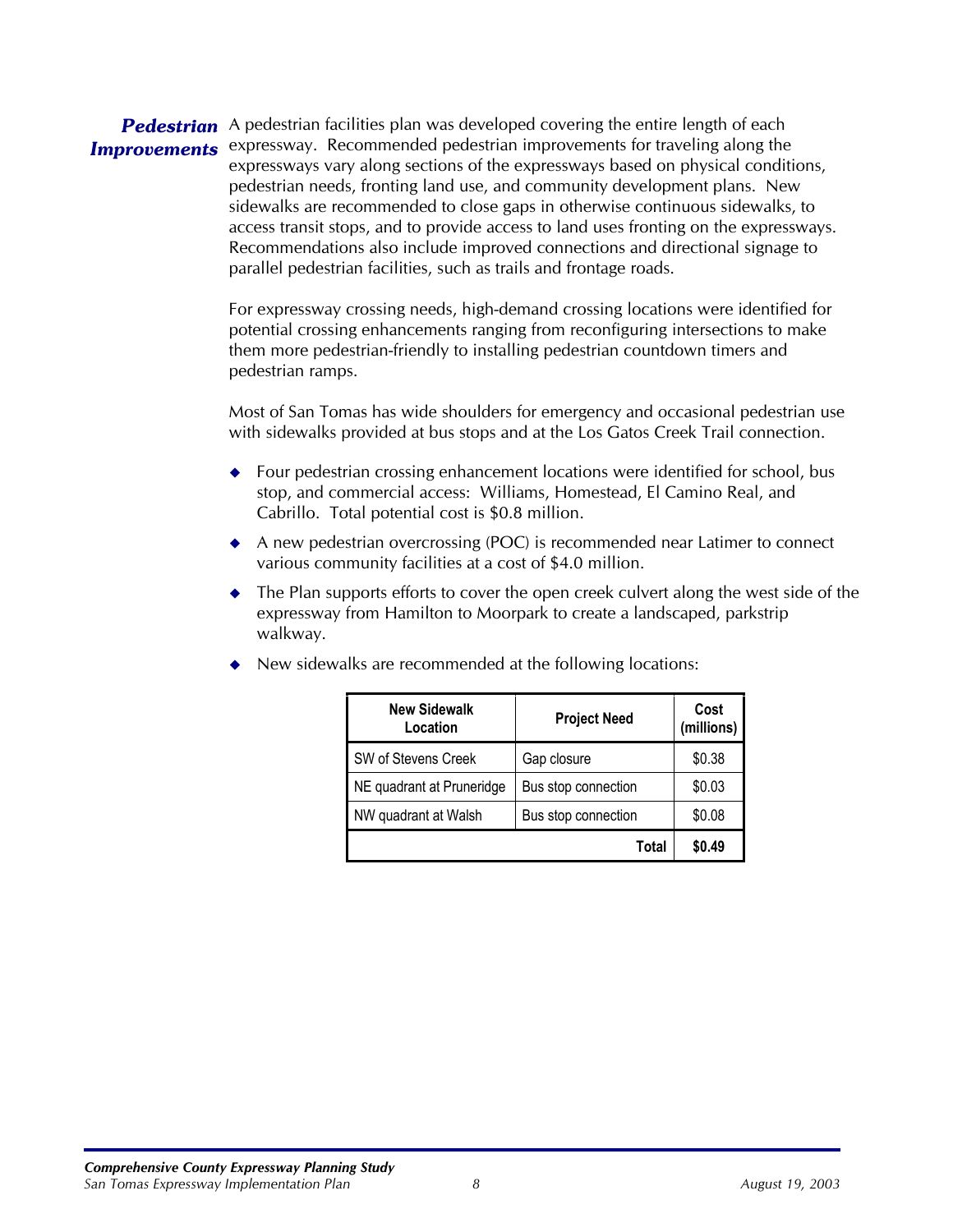#### Pedestrian A pedestrian facilities plan was developed covering the entire length of each **Improvements** expressway. Recommended pedestrian improvements for traveling along the expressways vary along sections of the expressways based on physical conditions, pedestrian needs, fronting land use, and community development plans. New sidewalks are recommended to close gaps in otherwise continuous sidewalks, to access transit stops, and to provide access to land uses fronting on the expressways. Recommendations also include improved connections and directional signage to parallel pedestrian facilities, such as trails and frontage roads.

For expressway crossing needs, high-demand crossing locations were identified for potential crossing enhancements ranging from reconfiguring intersections to make them more pedestrian-friendly to installing pedestrian countdown timers and pedestrian ramps.

Most of San Tomas has wide shoulders for emergency and occasional pedestrian use with sidewalks provided at bus stops and at the Los Gatos Creek Trail connection.

- ◆ Four pedestrian crossing enhancement locations were identified for school, bus stop, and commercial access: Williams, Homestead, El Camino Real, and Cabrillo. Total potential cost is \$0.8 million.
- ◆ A new pedestrian overcrossing (POC) is recommended near Latimer to connect various community facilities at a cost of \$4.0 million.
- The Plan supports efforts to cover the open creek culvert along the west side of the expressway from Hamilton to Moorpark to create a landscaped, parkstrip walkway.

| <b>New Sidewalk</b><br>Location | <b>Project Need</b> | Cost<br>(millions) |
|---------------------------------|---------------------|--------------------|
| SW of Stevens Creek             | Gap closure         | \$0.38             |
| NE quadrant at Pruneridge       | Bus stop connection | \$0.03             |
| NW quadrant at Walsh            | Bus stop connection | \$0.08             |
|                                 | Total               | \$0.49             |

◆ New sidewalks are recommended at the following locations: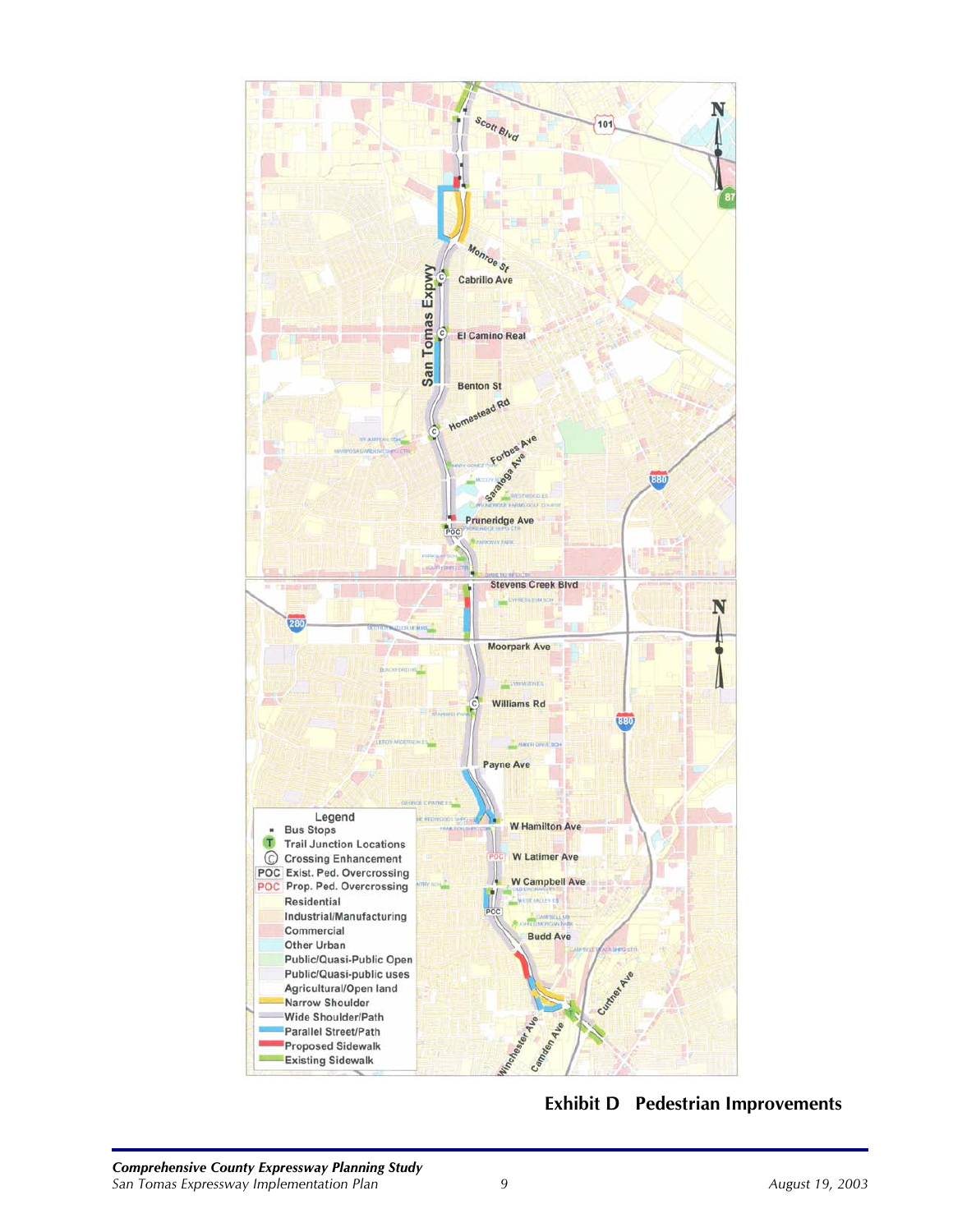

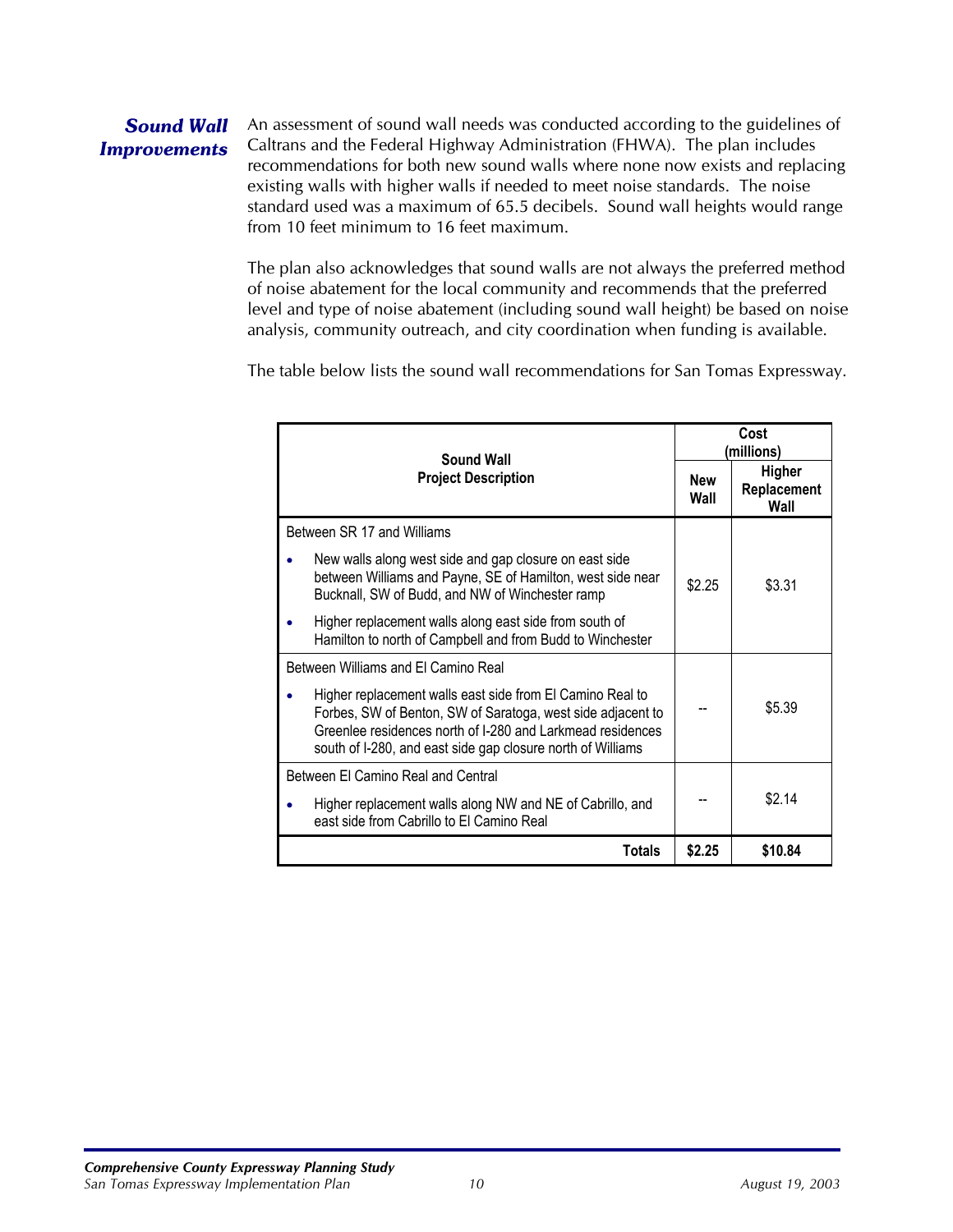#### *Sound Wall Improvements*

An assessment of sound wall needs was conducted according to the guidelines of Caltrans and the Federal Highway Administration (FHWA). The plan includes recommendations for both new sound walls where none now exists and replacing existing walls with higher walls if needed to meet noise standards. The noise standard used was a maximum of 65.5 decibels. Sound wall heights would range from 10 feet minimum to 16 feet maximum.

The plan also acknowledges that sound walls are not always the preferred method of noise abatement for the local community and recommends that the preferred level and type of noise abatement (including sound wall height) be based on noise analysis, community outreach, and city coordination when funding is available.

The table below lists the sound wall recommendations for San Tomas Expressway.

| <b>Sound Wall</b><br><b>Project Description</b>                                                                                                                                                                                                       |        | Cost<br>(millions)                   |  |
|-------------------------------------------------------------------------------------------------------------------------------------------------------------------------------------------------------------------------------------------------------|--------|--------------------------------------|--|
|                                                                                                                                                                                                                                                       |        | <b>Higher</b><br>Replacement<br>Wall |  |
| Between SR 17 and Williams                                                                                                                                                                                                                            |        |                                      |  |
| New walls along west side and gap closure on east side<br>between Williams and Payne, SE of Hamilton, west side near<br>Bucknall, SW of Budd, and NW of Winchester ramp                                                                               | \$2.25 | \$3.31                               |  |
| Higher replacement walls along east side from south of<br>Hamilton to north of Campbell and from Budd to Winchester                                                                                                                                   |        |                                      |  |
| Between Williams and El Camino Real                                                                                                                                                                                                                   |        |                                      |  |
| Higher replacement walls east side from El Camino Real to<br>Forbes, SW of Benton, SW of Saratoga, west side adjacent to<br>Greenlee residences north of I-280 and Larkmead residences<br>south of I-280, and east side gap closure north of Williams |        | \$5.39                               |  |
| Between El Camino Real and Central                                                                                                                                                                                                                    |        |                                      |  |
| Higher replacement walls along NW and NE of Cabrillo, and<br>east side from Cabrillo to El Camino Real                                                                                                                                                |        | \$2.14                               |  |
| Totals                                                                                                                                                                                                                                                | \$2.25 | \$10.84                              |  |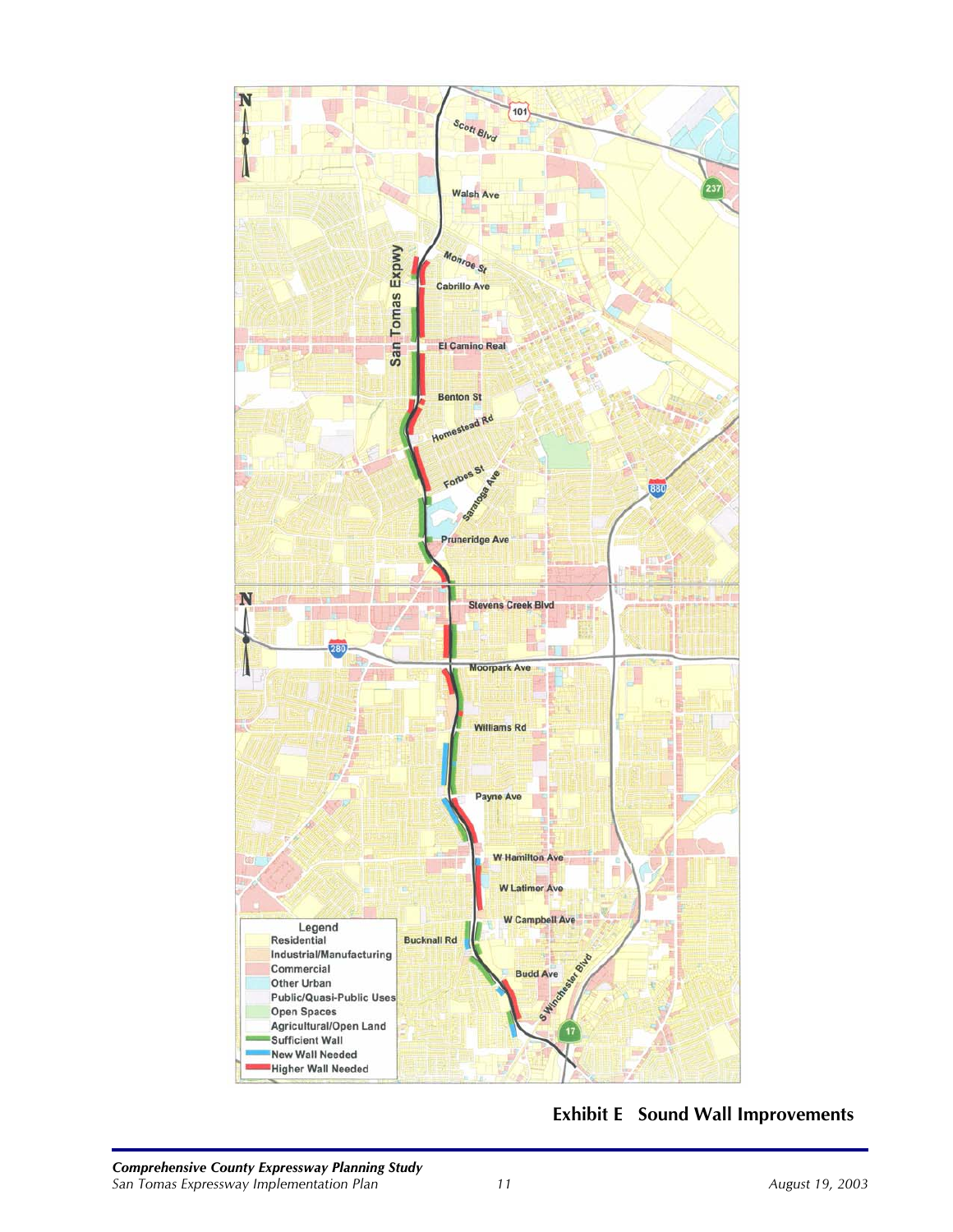

#### **Exhibit E Sound Wall Improvements**